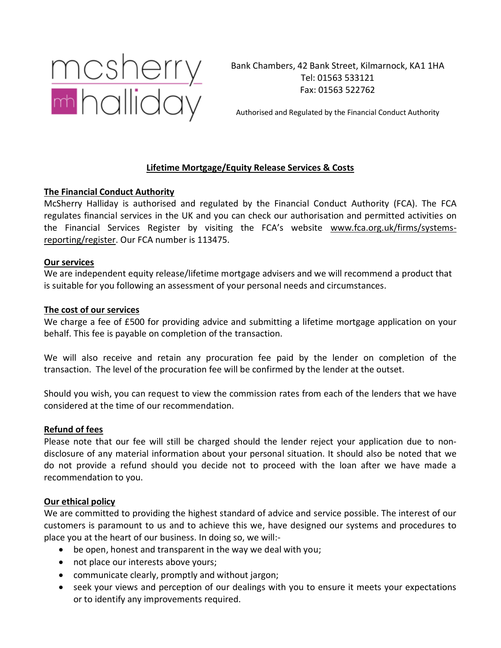

Bank Chambers, 42 Bank Street, Kilmarnock, KA1 1HA Tel: 01563 533121 Fax: 01563 522762

Authorised and Regulated by the Financial Conduct Authority

# **Lifetime Mortgage/Equity Release Services & Costs**

## **The Financial Conduct Authority**

McSherry Halliday is authorised and regulated by the Financial Conduct Authority (FCA). The FCA regulates financial services in the UK and you can check our authorisation and permitted activities on the Financial Services Register by visiting the FCA's website [www.fca.org.uk/firms/systems](http://www.fca.org.uk/firms/systems-reporting/register)[reporting/register.](http://www.fca.org.uk/firms/systems-reporting/register) Our FCA number is 113475.

#### **Our services**

We are independent equity release/lifetime mortgage advisers and we will recommend a product that is suitable for you following an assessment of your personal needs and circumstances.

#### **The cost of our services**

We charge a fee of £500 for providing advice and submitting a lifetime mortgage application on your behalf. This fee is payable on completion of the transaction.

We will also receive and retain any procuration fee paid by the lender on completion of the transaction. The level of the procuration fee will be confirmed by the lender at the outset.

Should you wish, you can request to view the commission rates from each of the lenders that we have considered at the time of our recommendation.

## **Refund of fees**

Please note that our fee will still be charged should the lender reject your application due to nondisclosure of any material information about your personal situation. It should also be noted that we do not provide a refund should you decide not to proceed with the loan after we have made a recommendation to you.

## **Our ethical policy**

We are committed to providing the highest standard of advice and service possible. The interest of our customers is paramount to us and to achieve this we, have designed our systems and procedures to place you at the heart of our business. In doing so, we will:-

- be open, honest and transparent in the way we deal with you;
- not place our interests above yours;
- communicate clearly, promptly and without jargon;
- seek your views and perception of our dealings with you to ensure it meets your expectations or to identify any improvements required.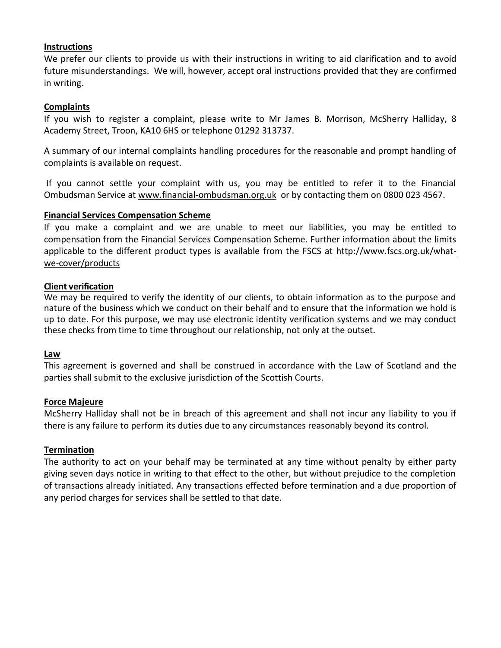### **Instructions**

We prefer our clients to provide us with their instructions in writing to aid clarification and to avoid future misunderstandings. We will, however, accept oral instructions provided that they are confirmed in writing.

#### **Complaints**

If you wish to register a complaint, please write to Mr James B. Morrison, McSherry Halliday, 8 Academy Street, Troon, KA10 6HS or telephone 01292 313737.

A summary of our internal complaints handling procedures for the reasonable and prompt handling of complaints is available on request.

If you cannot settle your complaint with us, you may be entitled to refer it to the Financial Ombudsman Service at [www.financial-ombudsman.org.uk](http://www.financial-ombudsman.org.uk/) or by contacting them on 0800 023 4567.

#### **Financial Services Compensation Scheme**

If you make a complaint and we are unable to meet our liabilities, you may be entitled to compensation from the Financial Services Compensation Scheme. Further information about the limits applicable to the different product types is available from the FSCS at [http://www.fscs.org.uk/what](http://www.fscs.org.uk/what-we-cover/products)[we-cover/products](http://www.fscs.org.uk/what-we-cover/products)

#### **Client verification**

We may be required to verify the identity of our clients, to obtain information as to the purpose and nature of the business which we conduct on their behalf and to ensure that the information we hold is up to date. For this purpose, we may use electronic identity verification systems and we may conduct these checks from time to time throughout our relationship, not only at the outset.

#### **Law**

This agreement is governed and shall be construed in accordance with the Law of Scotland and the parties shall submit to the exclusive jurisdiction of the Scottish Courts.

#### **Force Majeure**

McSherry Halliday shall not be in breach of this agreement and shall not incur any liability to you if there is any failure to perform its duties due to any circumstances reasonably beyond its control.

## **Termination**

The authority to act on your behalf may be terminated at any time without penalty by either party giving seven days notice in writing to that effect to the other, but without prejudice to the completion of transactions already initiated. Any transactions effected before termination and a due proportion of any period charges for services shall be settled to that date.